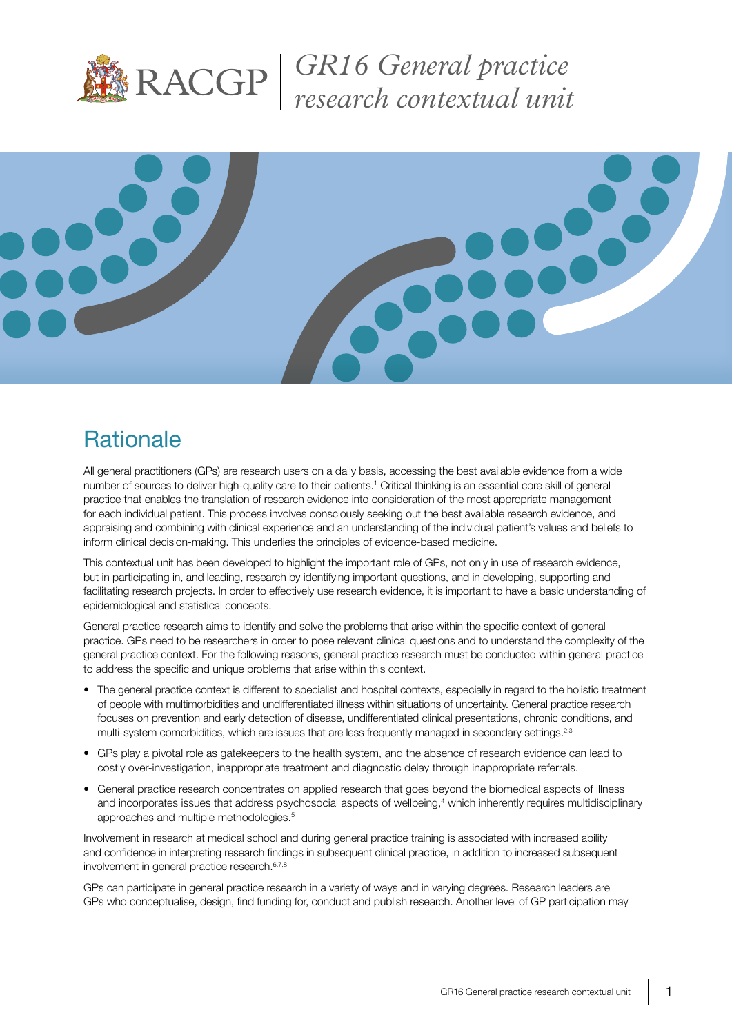

*GR16 General practice research contextual unit* 



# **Rationale**

All general practitioners (GPs) are research users on a daily basis, accessing the best available evidence from a wide number of sources to deliver high-quality care to their patients.<sup>1</sup> Critical thinking is an essential core skill of general practice that enables the translation of research evidence into consideration of the most appropriate management for each individual patient. This process involves consciously seeking out the best available research evidence, and appraising and combining with clinical experience and an understanding of the individual patient's values and beliefs to inform clinical decision-making. This underlies the principles of evidence-based medicine.

This contextual unit has been developed to highlight the important role of GPs, not only in use of research evidence, but in participating in, and leading, research by identifying important questions, and in developing, supporting and facilitating research projects. In order to effectively use research evidence, it is important to have a basic understanding of epidemiological and statistical concepts.

General practice research aims to identify and solve the problems that arise within the specific context of general practice. GPs need to be researchers in order to pose relevant clinical questions and to understand the complexity of the general practice context. For the following reasons, general practice research must be conducted within general practice to address the specific and unique problems that arise within this context.

- The general practice context is different to specialist and hospital contexts, especially in regard to the holistic treatment of people with multimorbidities and undifferentiated illness within situations of uncertainty. General practice research focuses on prevention and early detection of disease, undifferentiated clinical presentations, chronic conditions, and multi-system comorbidities, which are issues that are less frequently managed in secondary settings.<sup>2,3</sup>
- GPs play a pivotal role as gatekeepers to the health system, and the absence of research evidence can lead to costly over-investigation, inappropriate treatment and diagnostic delay through inappropriate referrals.
- General practice research concentrates on applied research that goes beyond the biomedical aspects of illness and incorporates issues that address psychosocial aspects of wellbeing,<sup>4</sup> which inherently requires multidisciplinary approaches and multiple methodologies.5

Involvement in research at medical school and during general practice training is associated with increased ability and confidence in interpreting research findings in subsequent clinical practice, in addition to increased subsequent involvement in general practice research.6,7,8

GPs can participate in general practice research in a variety of ways and in varying degrees. Research leaders are GPs who conceptualise, design, find funding for, conduct and publish research. Another level of GP participation may